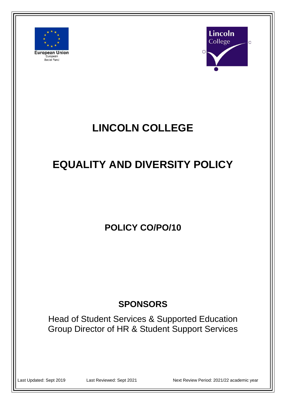



# **LINCOLN COLLEGE**

# **EQUALITY AND DIVERSITY POLICY**

**POLICY CO/PO/10**

# **SPONSORS**

Head of Student Services & Supported Education Group Director of HR & Student Support Services

Last Updated: Sept 2019 Last Reviewed: Sept 2021 Next Review Period: 2021/22 academic year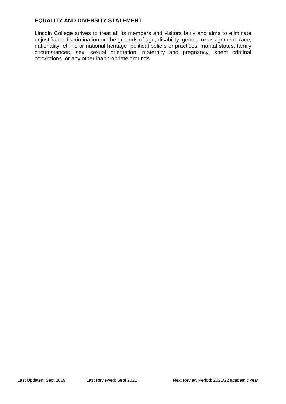#### **EQUALITY AND DIVERSITY STATEMENT**

Lincoln College strives to treat all its members and visitors fairly and aims to eliminate unjustifiable discrimination on the grounds of age, disability, gender re-assignment, race, nationality, ethnic or national heritage, political beliefs or practices, marital status, family circumstances, sex, sexual orientation, maternity and pregnancy, spent criminal convictions, or any other inappropriate grounds.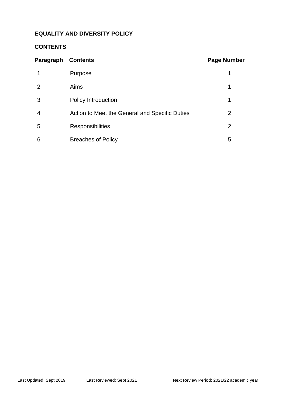# **EQUALITY AND DIVERSITY POLICY**

# **CONTENTS**

| Paragraph | <b>Contents</b>                                | <b>Page Number</b> |
|-----------|------------------------------------------------|--------------------|
|           | Purpose                                        |                    |
| 2         | Aims                                           | 1                  |
| 3         | Policy Introduction                            | 1                  |
| 4         | Action to Meet the General and Specific Duties | 2                  |
| 5         | <b>Responsibilities</b>                        | 2                  |
| 6         | <b>Breaches of Policy</b>                      | 5                  |
|           |                                                |                    |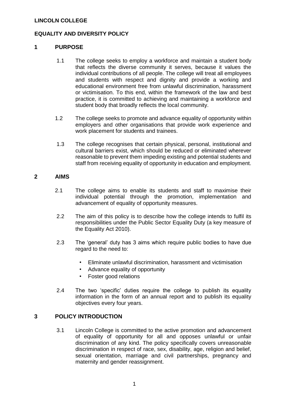#### **EQUALITY AND DIVERSITY POLICY**

#### **1 PURPOSE**

- 1.1 The college seeks to employ a workforce and maintain a student body that reflects the diverse community it serves, because it values the individual contributions of all people. The college will treat all employees and students with respect and dignity and provide a working and educational environment free from unlawful discrimination, harassment or victimisation. To this end, within the framework of the law and best practice, it is committed to achieving and maintaining a workforce and student body that broadly reflects the local community.
- 1.2 The college seeks to promote and advance equality of opportunity within employers and other organisations that provide work experience and work placement for students and trainees.
- 1.3 The college recognises that certain physical, personal, institutional and cultural barriers exist, which should be reduced or eliminated wherever reasonable to prevent them impeding existing and potential students and staff from receiving equality of opportunity in education and employment.

#### **2 AIMS**

- 2.1 The college aims to enable its students and staff to maximise their individual potential through the promotion, implementation and advancement of equality of opportunity measures.
- 2.2 The aim of this policy is to describe how the college intends to fulfil its responsibilities under the Public Sector Equality Duty (a key measure of the Equality Act 2010).
- 2.3 The 'general' duty has 3 aims which require public bodies to have due regard to the need to:
	- Eliminate unlawful discrimination, harassment and victimisation
	- Advance equality of opportunity
	- Foster good relations
- 2.4 The two 'specific' duties require the college to publish its equality information in the form of an annual report and to publish its equality objectives every four years.

#### **3 POLICY INTRODUCTION**

3.1 Lincoln College is committed to the active promotion and advancement of equality of opportunity for all and opposes unlawful or unfair discrimination of any kind. The policy specifically covers unreasonable discrimination in respect of race, sex, disability, age, religion and belief, sexual orientation, marriage and civil partnerships, pregnancy and maternity and gender reassignment.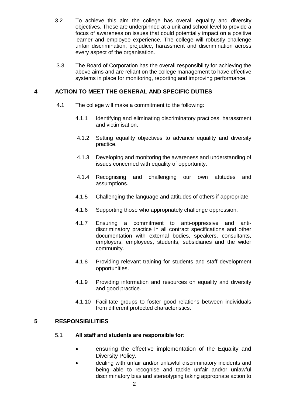- 3.2 To achieve this aim the college has overall equality and diversity objectives. These are underpinned at a unit and school level to provide a focus of awareness on issues that could potentially impact on a positive learner and employee experience. The college will robustly challenge unfair discrimination, prejudice, harassment and discrimination across every aspect of the organisation.
- 3.3 The Board of Corporation has the overall responsibility for achieving the above aims and are reliant on the college management to have effective systems in place for monitoring, reporting and improving performance.

# **4 ACTION TO MEET THE GENERAL AND SPECIFIC DUTIES**

- 4.1 The college will make a commitment to the following:
	- 4.1.1 Identifying and eliminating discriminatory practices, harassment and victimisation.
	- 4.1.2 Setting equality objectives to advance equality and diversity practice.
	- 4.1.3 Developing and monitoring the awareness and understanding of issues concerned with equality of opportunity.
	- 4.1.4 Recognising and challenging our own attitudes and assumptions.
	- 4.1.5 Challenging the language and attitudes of others if appropriate.
	- 4.1.6 Supporting those who appropriately challenge oppression.
	- 4.1.7 Ensuring a commitment to anti-oppressive and antidiscriminatory practice in all contract specifications and other documentation with external bodies, speakers, consultants, employers, employees, students, subsidiaries and the wider community.
	- 4.1.8 Providing relevant training for students and staff development opportunities.
	- 4.1.9 Providing information and resources on equality and diversity and good practice.
	- 4.1.10 Facilitate groups to foster good relations between individuals from different protected characteristics.

# **5 RESPONSIBILITIES**

#### 5.1 **All staff and students are responsible for**:

- ensuring the effective implementation of the Equality and Diversity Policy.
- dealing with unfair and/or unlawful discriminatory incidents and being able to recognise and tackle unfair and/or unlawful discriminatory bias and stereotyping taking appropriate action to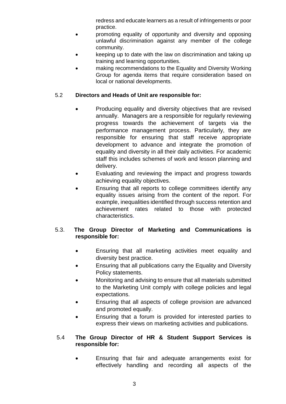redress and educate learners as a result of infringements or poor practice.

- promoting equality of opportunity and diversity and opposing unlawful discrimination against any member of the college community.
- keeping up to date with the law on discrimination and taking up training and learning opportunities.
- making recommendations to the Equality and Diversity Working Group for agenda items that require consideration based on local or national developments.

# 5.2 **Directors and Heads of Unit are responsible for:**

- Producing equality and diversity objectives that are revised annually. Managers are a responsible for regularly reviewing progress towards the achievement of targets via the performance management process. Particularly, they are responsible for ensuring that staff receive appropriate development to advance and integrate the promotion of equality and diversity in all their daily activities. For academic staff this includes schemes of work and lesson planning and delivery.
- Evaluating and reviewing the impact and progress towards achieving equality objectives.
- Ensuring that all reports to college committees identify any equality issues arising from the content of the report. For example, inequalities identified through success retention and achievement rates related to those with protected characteristics.

# 5.3. **The Group Director of Marketing and Communications is responsible for:**

- Ensuring that all marketing activities meet equality and diversity best practice.
- Ensuring that all publications carry the Equality and Diversity Policy statements.
- Monitoring and advising to ensure that all materials submitted to the Marketing Unit comply with college policies and legal expectations.
- Ensuring that all aspects of college provision are advanced and promoted equally.
- Ensuring that a forum is provided for interested parties to express their views on marketing activities and publications.

#### 5.4 **The Group Director of HR & Student Support Services is responsible for:**

• Ensuring that fair and adequate arrangements exist for effectively handling and recording all aspects of the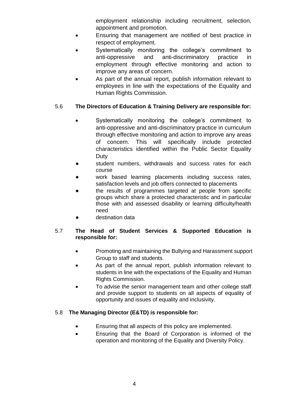employment relationship including recruitment, selection, appointment and promotion.

- Ensuring that management are notified of best practice in respect of employment.
- Systematically monitoring the college's commitment to anti-oppressive and anti-discriminatory practice in employment through effective monitoring and action to improve any areas of concern.
- As part of the annual report, publish information relevant to employees in line with the expectations of the Equality and Human Rights Commission.

# 5.6 **The Directors of Education & Training Delivery are responsible for:**

- Systematically monitoring the college's commitment to anti-oppressive and anti-discriminatory practice in curriculum through effective monitoring and action to improve any areas of concern. This will specifically include protected characteristics identified within the Public Sector Equality Duty
- student numbers, withdrawals and success rates for each course
- work based learning placements including success rates, satisfaction levels and job offers connected to placements
- the results of programmes targeted at people from specific groups which share a protected characteristic and in particular those with and assessed disability or learning difficulty/health need
- destination data

#### 5.7 **The Head of Student Services & Supported Education is responsible for:**

- Promoting and maintaining the Bullying and Harassment support Group to staff and students.
- As part of the annual report, publish information relevant to students in line with the expectations of the Equality and Human Rights Commission.
- To advise the senior management team and other college staff and provide support to students on all aspects of equality of opportunity and issues of equality and inclusivity.

# 5.8 **The Managing Director (E&TD) is responsible for:**

- Ensuring that all aspects of this policy are implemented.
- Ensuring that the Board of Corporation is informed of the operation and monitoring of the Equality and Diversity Policy.